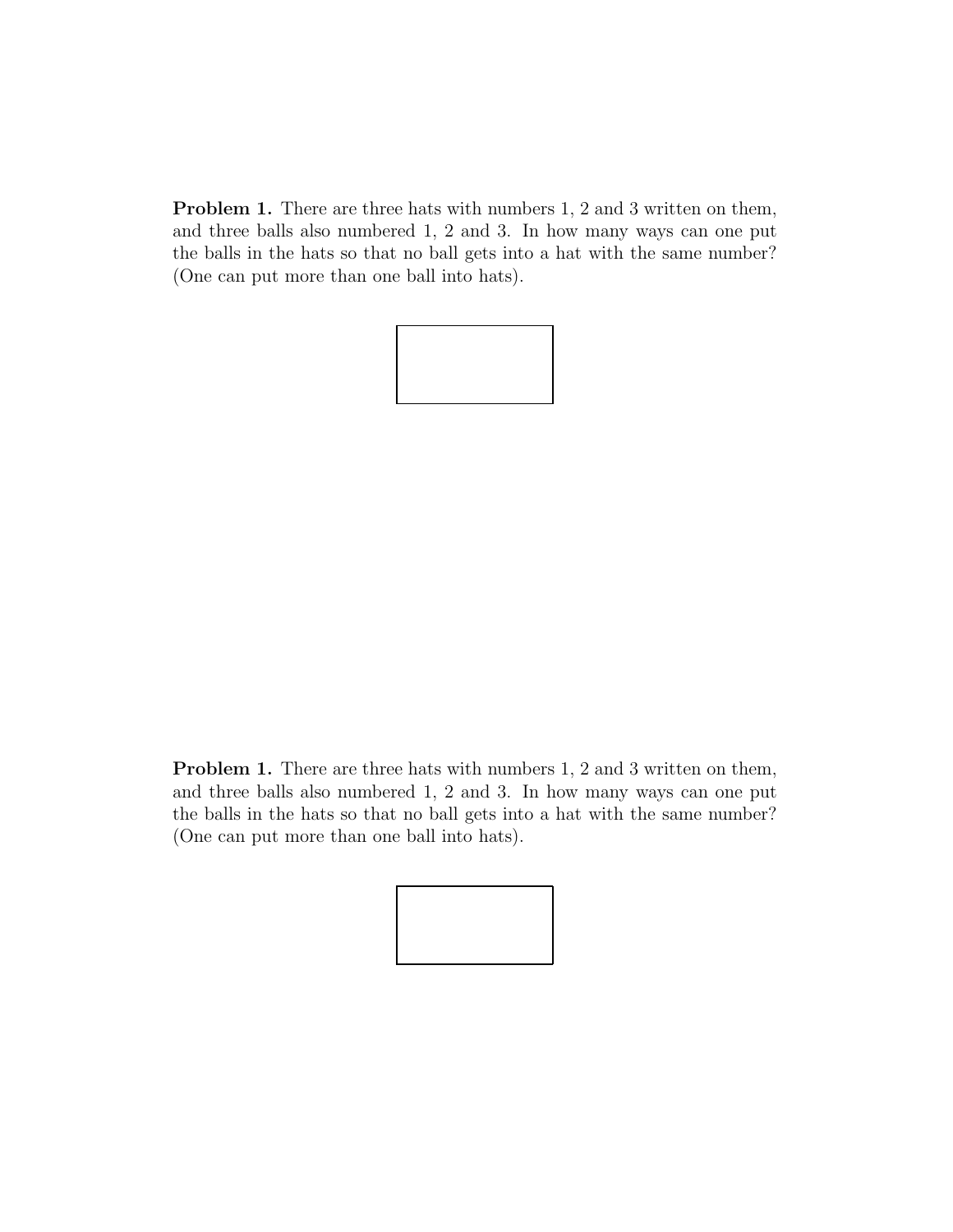**Problem 1.** There are three hats with numbers 1, 2 and 3 written on them, and three balls also numbered 1, 2 and 3. In how many ways can one put the balls in the hats so that no ball gets into a hat with the same number? (One can put more than one ball into hats).



**Problem 1.** There are three hats with numbers 1, 2 and 3 written on them, and three balls also numbered 1, 2 and 3. In how many ways can one put the balls in the hats so that no ball gets into a hat with the same number? (One can put more than one ball into hats).

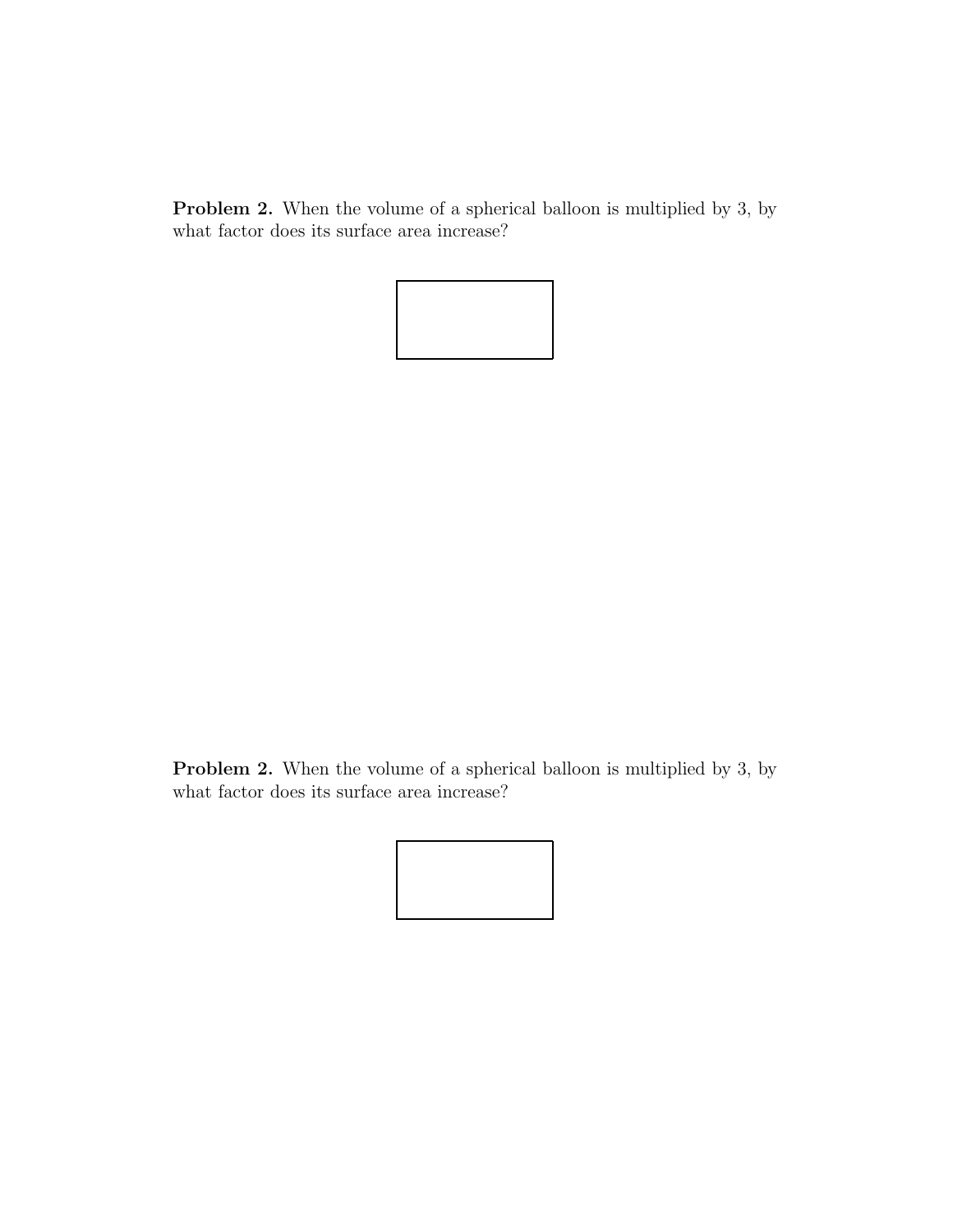**Problem 2.** When the volume of a spherical balloon is multiplied by 3, by what factor does its surface area increase?



**Problem 2.** When the volume of a spherical balloon is multiplied by 3, by what factor does its surface area increase?

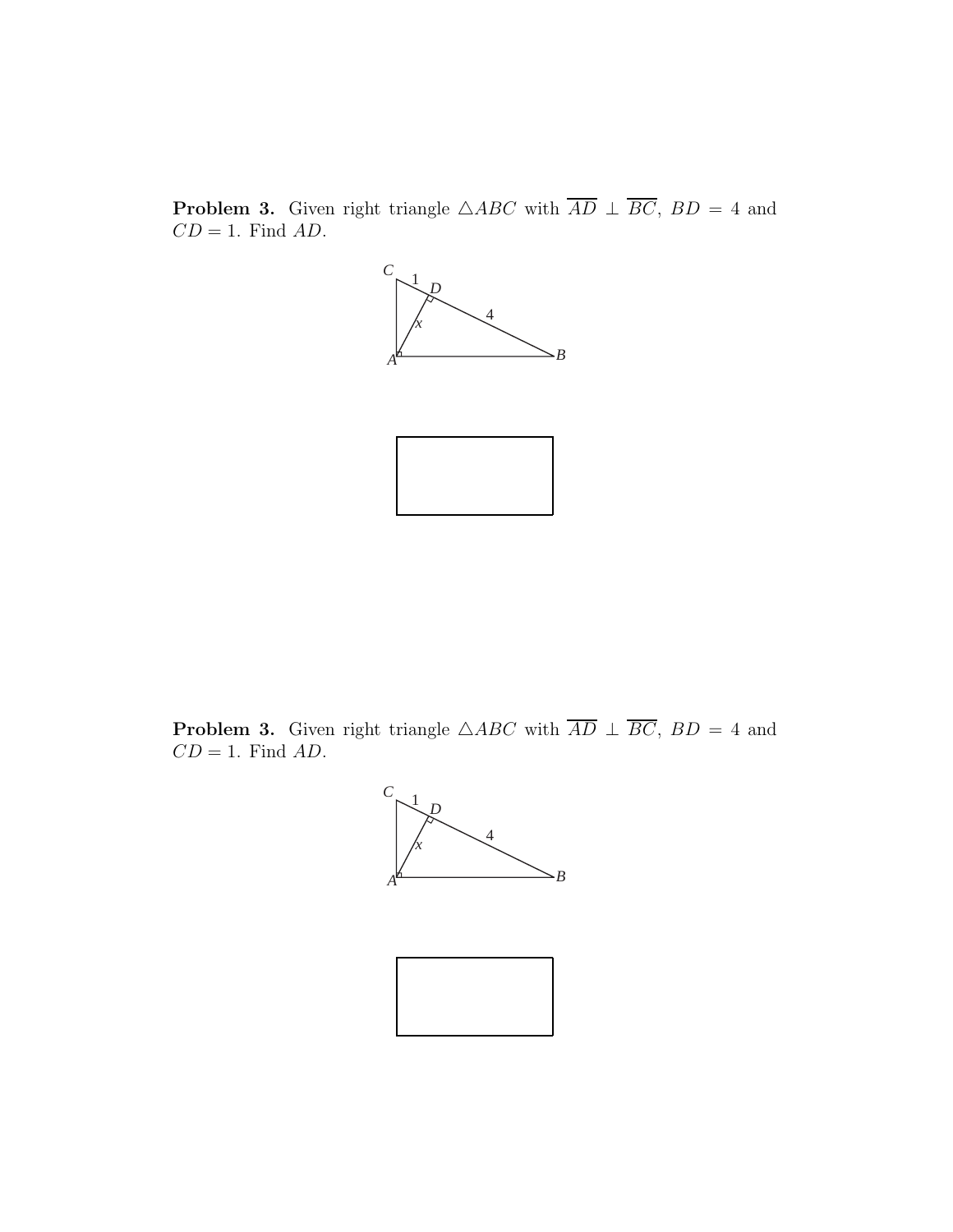**Problem 3.** Given right triangle  $\triangle ABC$  with  $\overline{AD} \perp \overline{BC}$ ,  $BD = 4$  and *CD* = 1. Find *AD*.





**Problem 3.** Given right triangle  $\triangle ABC$  with  $\overline{AD} \perp \overline{BC}$ ,  $BD = 4$  and *CD* = 1. Find *AD*.

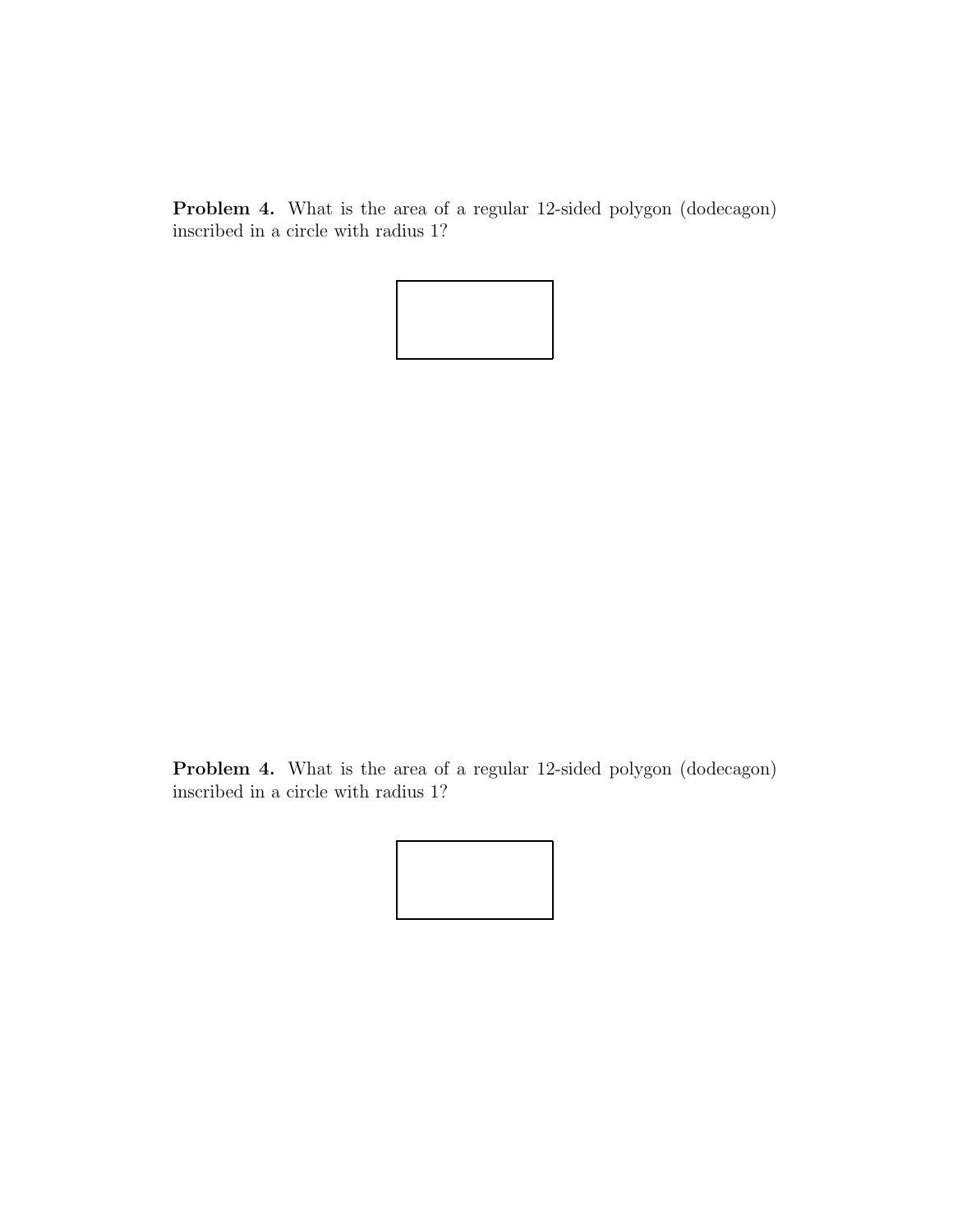**Problem 4.** What is the area of a regular 12-sided polygon (dodecagon) inscribed in a circle with radius 1?



**Problem 4.** What is the area of a regular 12-sided polygon (dodecagon) inscribed in a circle with radius 1?

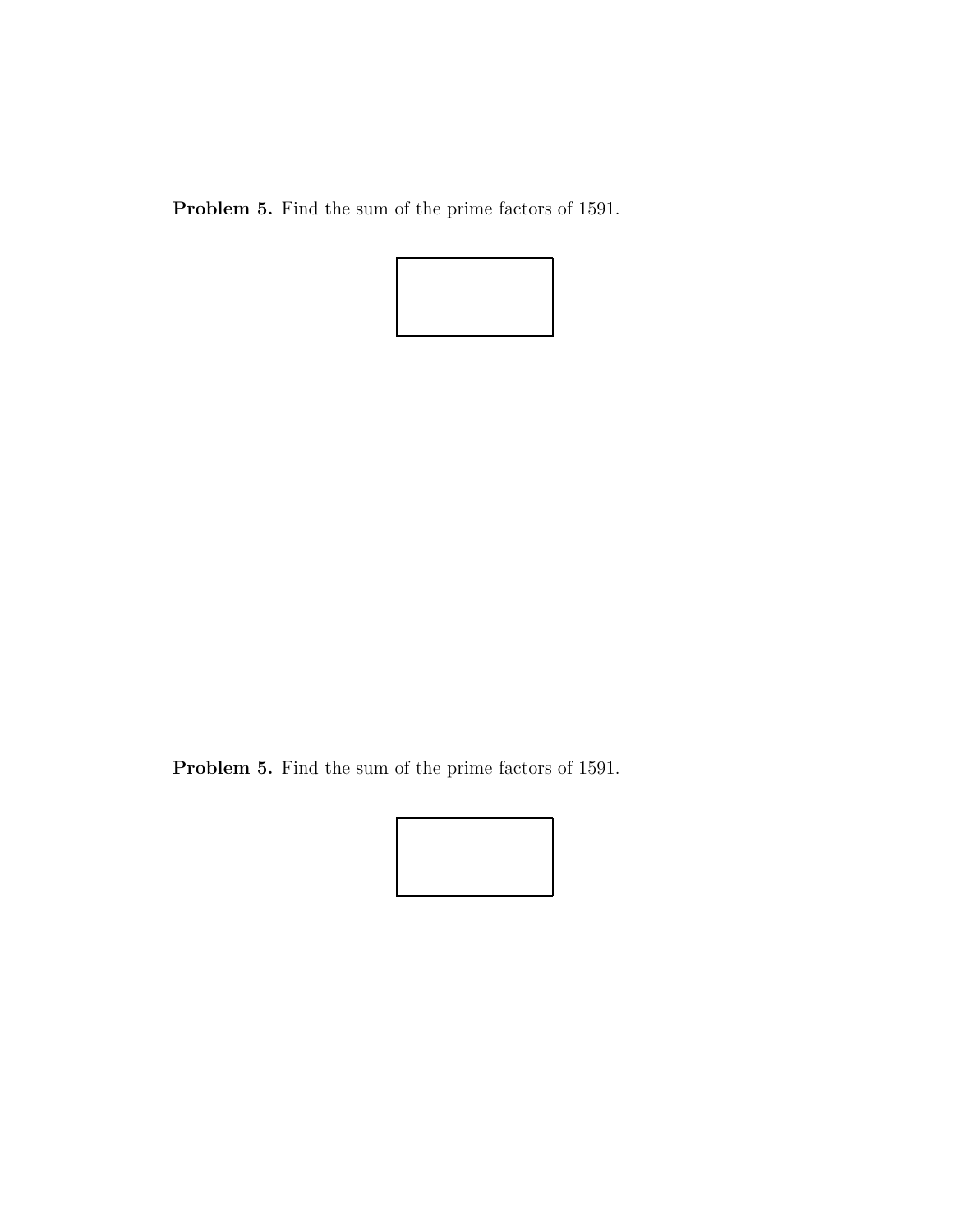**Problem 5.** Find the sum of the prime factors of 1591.



**Problem 5.** Find the sum of the prime factors of 1591.

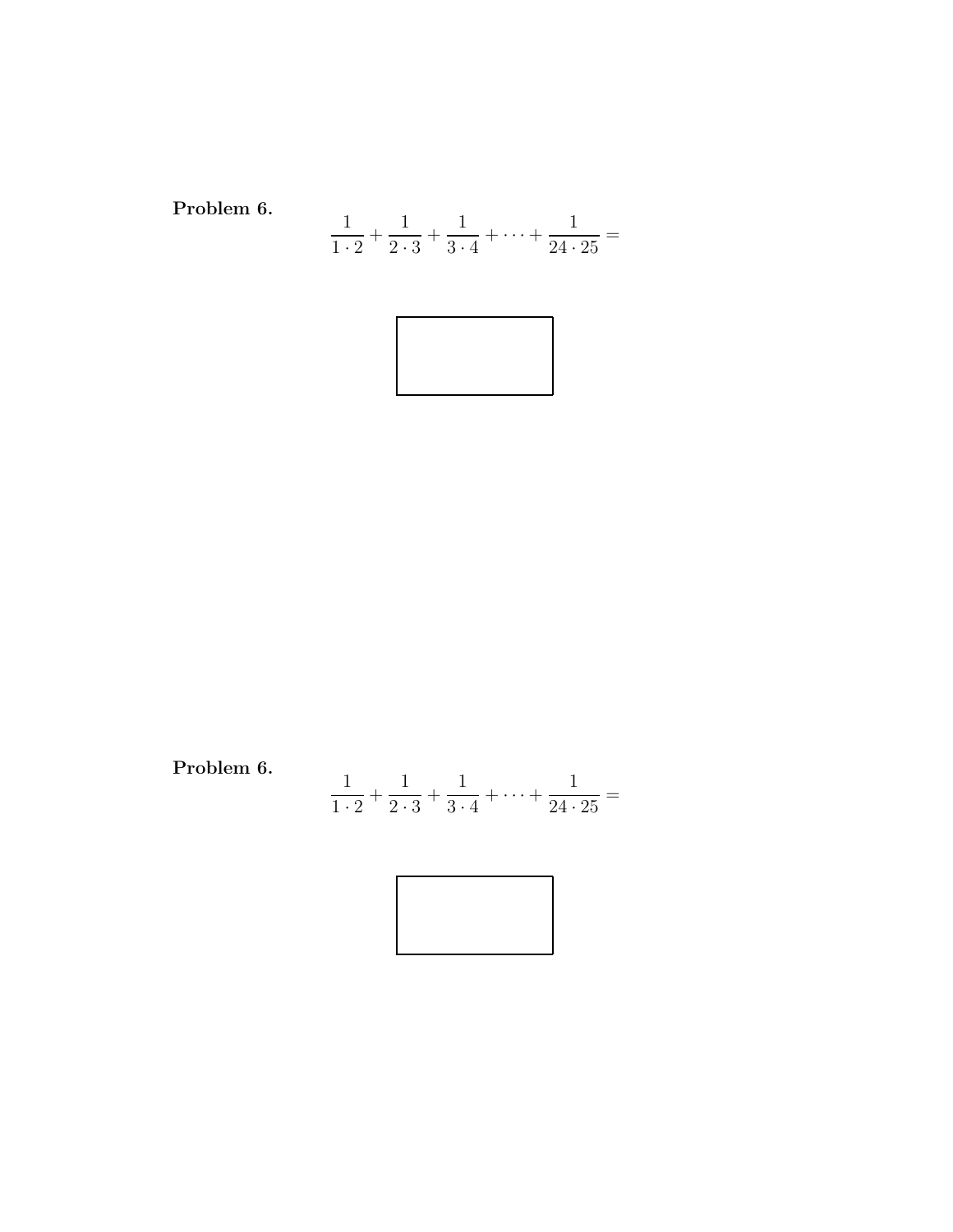**Problem 6.**

$$
\frac{1}{1\cdot 2} + \frac{1}{2\cdot 3} + \frac{1}{3\cdot 4} + \dots + \frac{1}{24\cdot 25} =
$$



**Problem 6.**  $\frac{1}{1 \cdot 2} +$   $\frac{1}{2 \cdot 3} +$   $\frac{1}{3 \cdot 4} + \cdots +$   $\frac{1}{24 \cdot 25}$  =

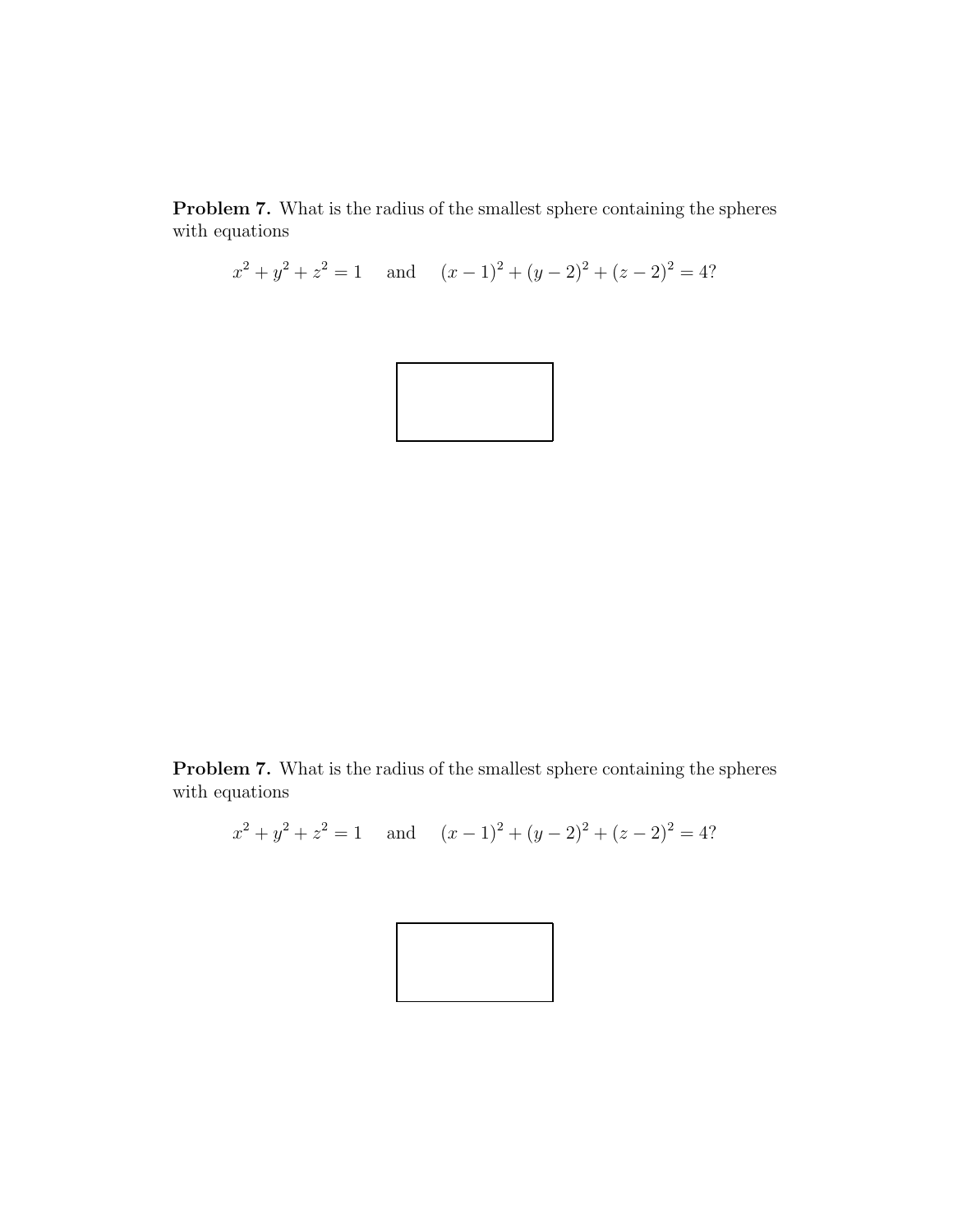**Problem 7.** What is the radius of the smallest sphere containing the spheres with equations

$$
x^{2} + y^{2} + z^{2} = 1
$$
 and  $(x - 1)^{2} + (y - 2)^{2} + (z - 2)^{2} = 4$ ?



**Problem 7.** What is the radius of the smallest sphere containing the spheres with equations

$$
x^{2} + y^{2} + z^{2} = 1
$$
 and  $(x - 1)^{2} + (y - 2)^{2} + (z - 2)^{2} = 4$ ?

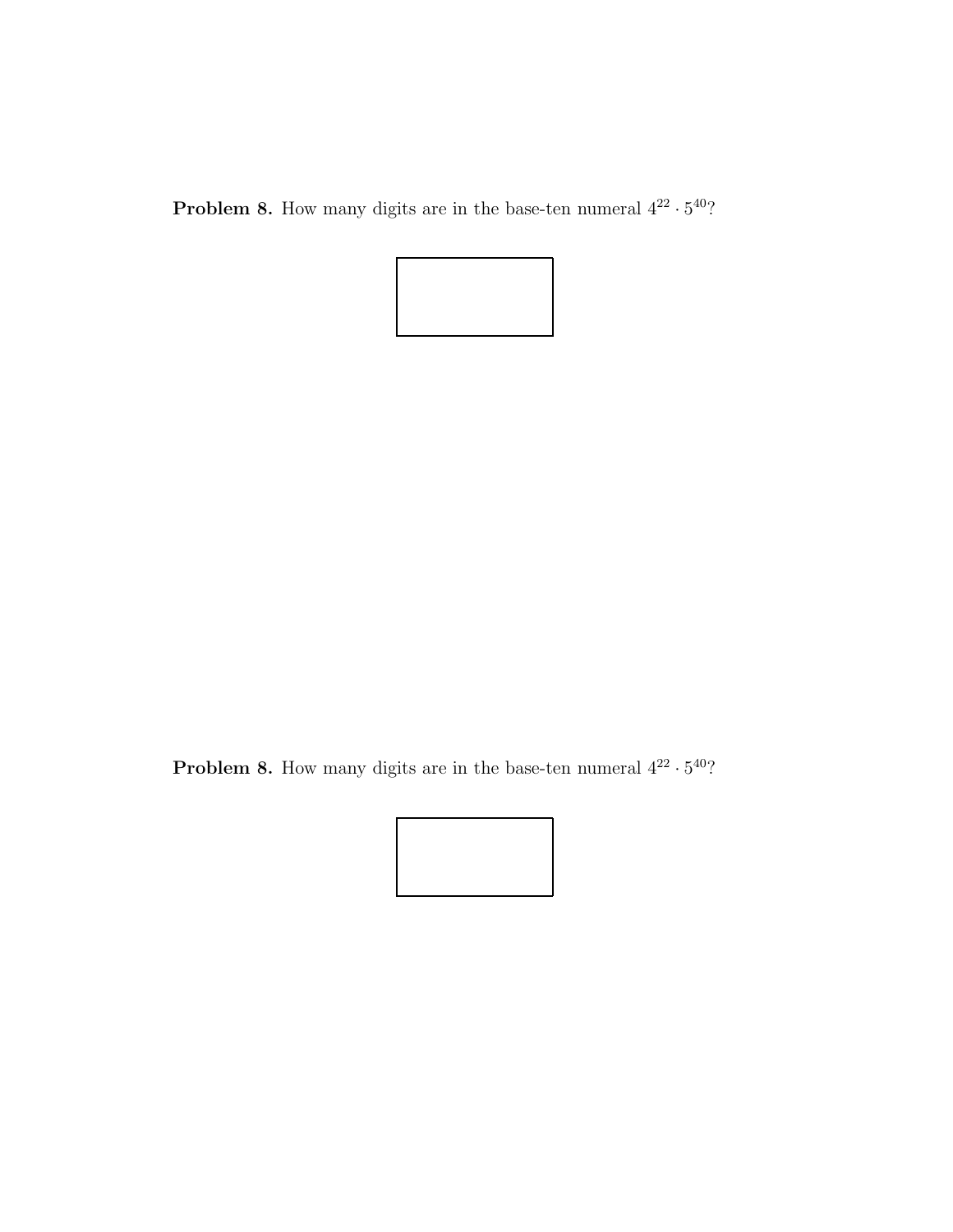**Problem 8.** How many digits are in the base-ten numeral  $4^{22} \cdot 5^{40}$ ?



**Problem 8.** How many digits are in the base-ten numeral  $4^{22} \cdot 5^{40}$ ?

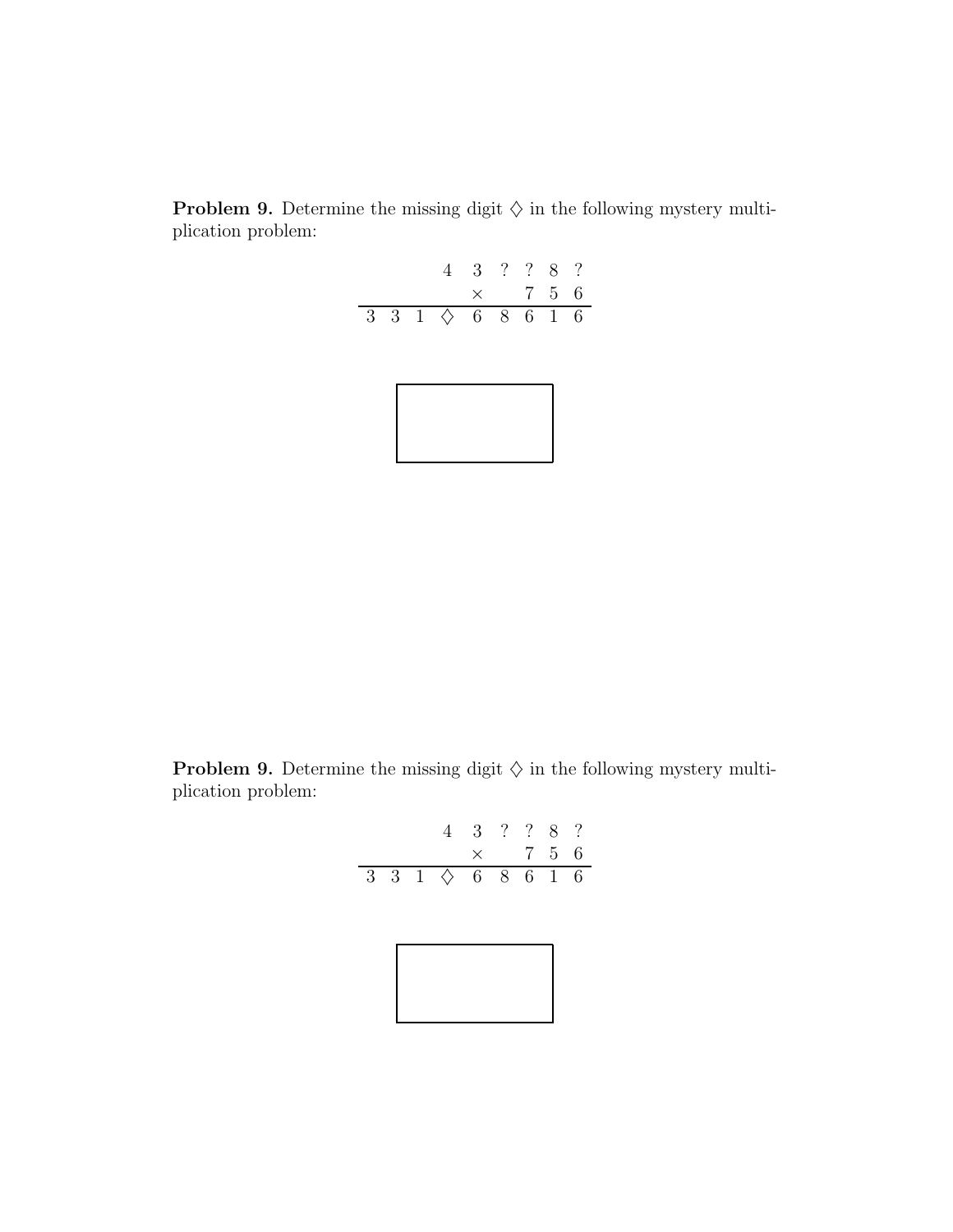**Problem 9.** Determine the missing digit  $\diamondsuit$  in the following mystery multiplication problem:

|                        |  | $4 \t3 \t? \t? \t8$ |       |                | $\ddot{?}$ |
|------------------------|--|---------------------|-------|----------------|------------|
|                        |  | $\times$            | $7 -$ | 5 <sub>5</sub> | 6          |
| $3 \t3 \t1 \t\diamond$ |  | $68\overline{616}$  |       |                |            |
|                        |  |                     |       |                |            |
|                        |  |                     |       |                |            |
|                        |  |                     |       |                |            |
|                        |  |                     |       |                |            |
|                        |  |                     |       |                |            |

**Problem 9.** Determine the missing digit  $\diamondsuit$  in the following mystery multiplication problem: